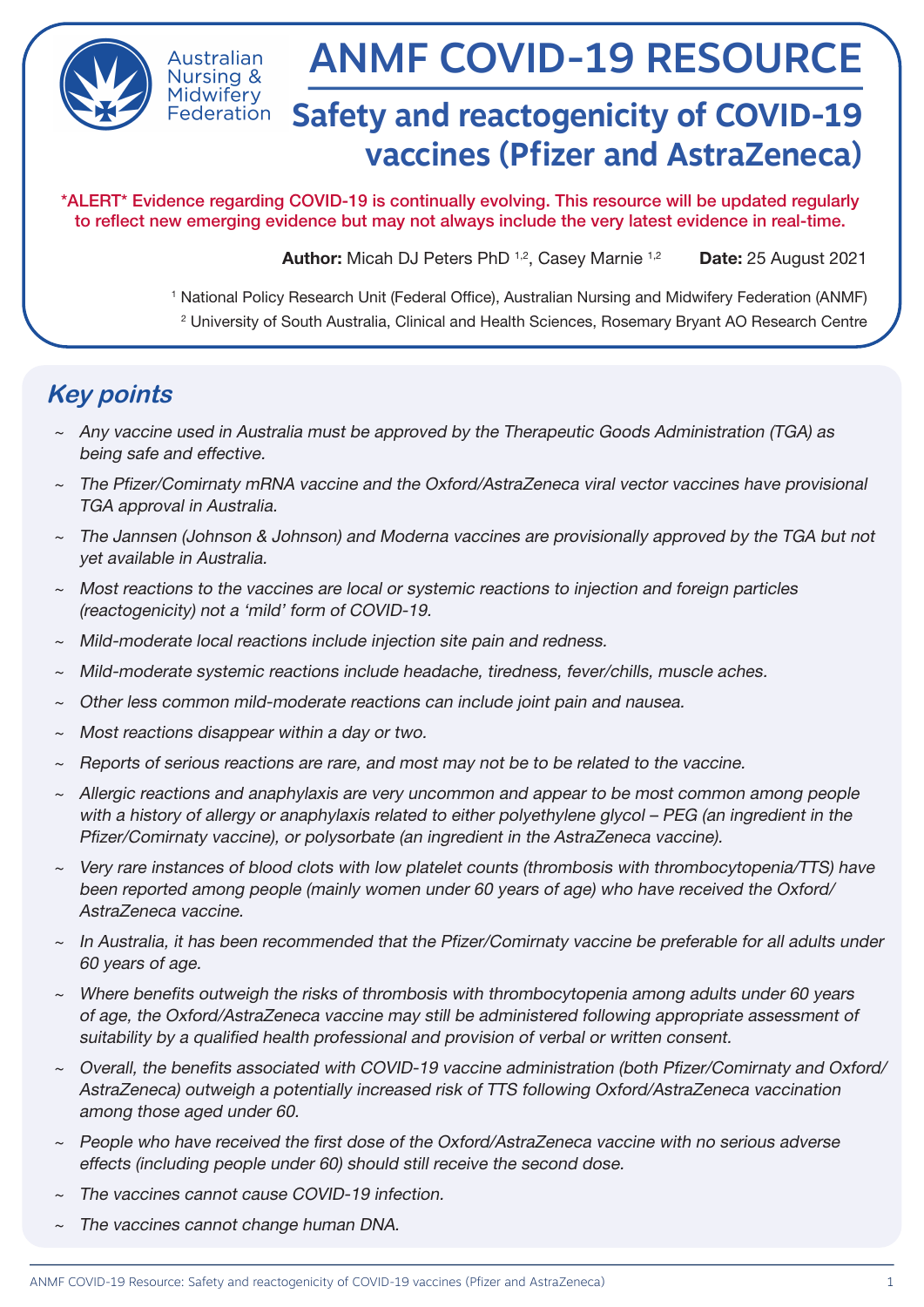

Australian Nursing & Midwiferv **Federation** 

# ANMF COVID-19 RESOURCE

## **Safety and reactogenicity of COVID-19 vaccines (Pfizer and AstraZeneca)**

\*ALERT\* Evidence regarding COVID-19 is continually evolving. This resource will be updated regularly to reflect new emerging evidence but may not always include the very latest evidence in real-time.

Author: Micah DJ Peters PhD<sup>1,2</sup>, Casey Marnie <sup>1,2</sup> Date: 25 August 2021

1 National Policy Research Unit (Federal Office), Australian Nursing and Midwifery Federation (ANMF) 2 University of South Australia, Clinical and Health Sciences, Rosemary Bryant AO Research Centre

## **Key points**

- ~ Any vaccine used in Australia must be approved by the Therapeutic Goods Administration (TGA) as being safe and effective.
- ~ The Pfizer/Comirnaty mRNA vaccine and the Oxford/AstraZeneca viral vector vaccines have provisional TGA approval in Australia.
- ~ The Jannsen (Johnson & Johnson) and Moderna vaccines are provisionally approved by the TGA but not yet available in Australia.
- ~ Most reactions to the vaccines are local or systemic reactions to injection and foreign particles (reactogenicity) not a 'mild' form of COVID-19.
- ~ Mild-moderate local reactions include injection site pain and redness.
- ~ Mild-moderate systemic reactions include headache, tiredness, fever/chills, muscle aches.
- Other less common mild-moderate reactions can include joint pain and nausea.
- Most reactions disappear within a day or two.
- ~ Reports of serious reactions are rare, and most may not be to be related to the vaccine.
- ~ Allergic reactions and anaphylaxis are very uncommon and appear to be most common among people with a history of allergy or anaphylaxis related to either polyethylene glycol - PEG (an ingredient in the Pfizer/Comirnaty vaccine), or polysorbate (an ingredient in the AstraZeneca vaccine).
- $\sim$  Very rare instances of blood clots with low platelet counts (thrombosis with thrombocytopenia/TTS) have been reported among people (mainly women under 60 years of age) who have received the Oxford/ AstraZeneca vaccine.
- ~ In Australia, it has been recommended that the Pfizer/Comirnaty vaccine be preferable for all adults under 60 years of age.
- $\sim$  Where benefits outweigh the risks of thrombosis with thrombocytopenia among adults under 60 years of age, the Oxford/AstraZeneca vaccine may still be administered following appropriate assessment of suitability by a qualified health professional and provision of verbal or written consent.
- ~ Overall, the benefits associated with COVID-19 vaccine administration (both Pfizer/Comirnaty and Oxford/ AstraZeneca) outweigh a potentially increased risk of TTS following Oxford/AstraZeneca vaccination among those aged under 60.
- $\sim$  People who have received the first dose of the Oxford/AstraZeneca vaccine with no serious adverse effects (including people under 60) should still receive the second dose.
- The vaccines cannot cause COVID-19 infection.
- The vaccines cannot change human DNA.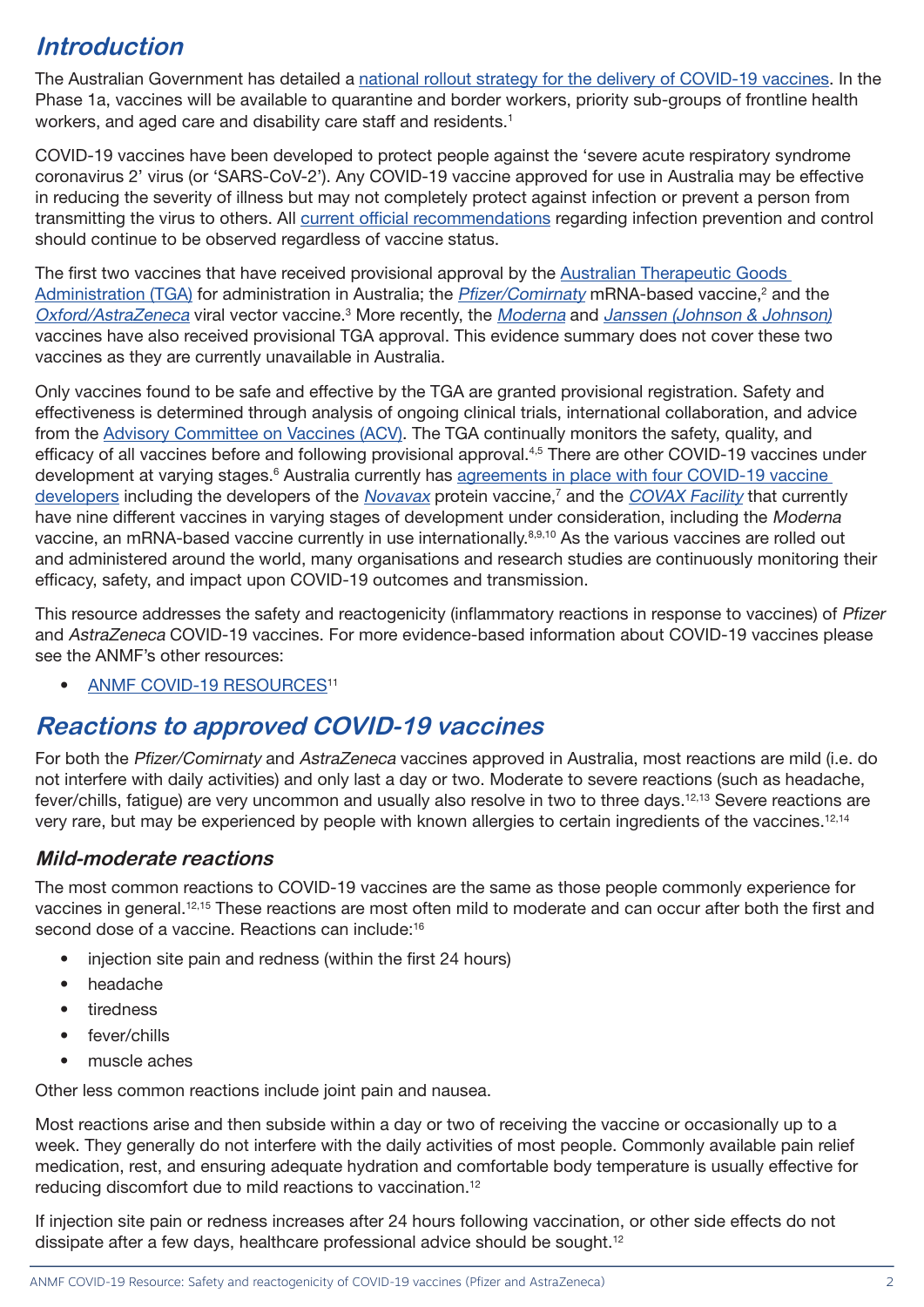## **Introduction**

The Australian Government has detailed a [national rollout strategy for the delivery of COVID-19 vaccines](https://www.health.gov.au/initiatives-and-programs/covid-19-vaccines/getting-vaccinated-for-covid-19/who-will-get-the-vaccines#covid19-vaccine-national-rollout-phases). In the Phase 1a, vaccines will be available to quarantine and border workers, priority sub-groups of frontline health workers, and aged care and disability care staff and residents.<sup>1</sup>

COVID-19 vaccines have been developed to protect people against the 'severe acute respiratory syndrome coronavirus 2' virus (or 'SARS-CoV-2'). Any COVID-19 vaccine approved for use in Australia may be effective in reducing the severity of illness but may not completely protect against infection or prevent a person from transmitting the virus to others. All [current official recommendations](https://www.health.gov.au/news/health-alerts/novel-coronavirus-2019-ncov-health-alert/how-to-protect-yourself-and-others-from-coronavirus-covid-19) regarding infection prevention and control should continue to be observed regardless of vaccine status.

The first two vaccines that have received provisional approval by the [Australian Therapeutic Goods](https://www.tga.gov.au/covid-19-vaccines)  [Administration \(TGA\)](https://www.tga.gov.au/covid-19-vaccines) for administration in Australia; the *[Pfizer/](https://www.health.gov.au/resources/publications/coronavirus-covid-19-information-about-the-pfizerbiontech-vaccine-for-covid-19)Comirnaty* mRNA-based vaccine,<sup>2</sup> and the [Oxford/AstraZeneca](https://www.health.gov.au/resources/publications/coronavirus-covid-19-information-about-the-university-of-oxford-vaccine-for-covid-19) viral vector vaccine.<sup>3</sup> More recently, the [Moderna](https://www.tga.gov.au/covid-19-vaccine-spikevax-elasomeran) and [Janssen \(Johnson & Johnson\)](https://www.tga.gov.au/covid-19-vaccine-janssen) vaccines have also received provisional TGA approval. This evidence summary does not cover these two vaccines as they are currently unavailable in Australia.

Only vaccines found to be safe and effective by the TGA are granted provisional registration. Safety and effectiveness is determined through analysis of ongoing clinical trials, international collaboration, and advice from the [Advisory Committee on Vaccines \(ACV\)](https://www.tga.gov.au/committee/advisory-committee-vaccines-acv). The TGA continually monitors the safety, quality, and efficacy of all vaccines before and following provisional approval.<sup>4,5</sup> There are other COVID-19 vaccines under development at varying stages.<sup>6</sup> Australia currently has agreements in place with four COVID-19 vaccine [developers](https://www.health.gov.au/initiatives-and-programs/covid-19-vaccines/about-covid-19-vaccines/australias-vaccine-agreements#pfizerbiontech) including the developers of the [Novavax](https://www.health.gov.au/resources/publications/coronavirus-covid-19-information-about-the-novavax-vaccine-for-covid-19) protein vaccine,<sup>7</sup> and the [COVAX Facility](https://www.health.gov.au/resources/publications/coronavirus-covid-19-information-about-the-covax-facility) that currently have nine different vaccines in varying stages of development under consideration, including the Moderna vaccine, an mRNA-based vaccine currently in use internationally.<sup>8,9,10</sup> As the various vaccines are rolled out and administered around the world, many organisations and research studies are continuously monitoring their efficacy, safety, and impact upon COVID-19 outcomes and transmission.

This resource addresses the safety and reactogenicity (inflammatory reactions in response to vaccines) of Pfizer and AstraZeneca COVID-19 vaccines. For more evidence-based information about COVID-19 vaccines please see the ANMF's other resources:

• [ANMF COVID-19 RESOURCES](https://anmf.org.au/pages/anmf-covid-19-resources)11

## **Reactions to approved COVID-19 vaccines**

For both the Pfizer/Comirnaty and AstraZeneca vaccines approved in Australia, most reactions are mild (i.e. do not interfere with daily activities) and only last a day or two. Moderate to severe reactions (such as headache, fever/chills, fatigue) are very uncommon and usually also resolve in two to three days.<sup>12,13</sup> Severe reactions are very rare, but may be experienced by people with known allergies to certain ingredients of the vaccines.<sup>12,14</sup>

#### **Mild-moderate reactions**

The most common reactions to COVID-19 vaccines are the same as those people commonly experience for vaccines in general.12,15 These reactions are most often mild to moderate and can occur after both the first and second dose of a vaccine. Reactions can include:<sup>16</sup>

- injection site pain and redness (within the first 24 hours)
- headache
- tiredness
- fever/chills
- muscle aches

Other less common reactions include joint pain and nausea.

Most reactions arise and then subside within a day or two of receiving the vaccine or occasionally up to a week. They generally do not interfere with the daily activities of most people. Commonly available pain relief medication, rest, and ensuring adequate hydration and comfortable body temperature is usually effective for reducing discomfort due to mild reactions to vaccination.12

If injection site pain or redness increases after 24 hours following vaccination, or other side effects do not dissipate after a few days, healthcare professional advice should be sought.<sup>12</sup>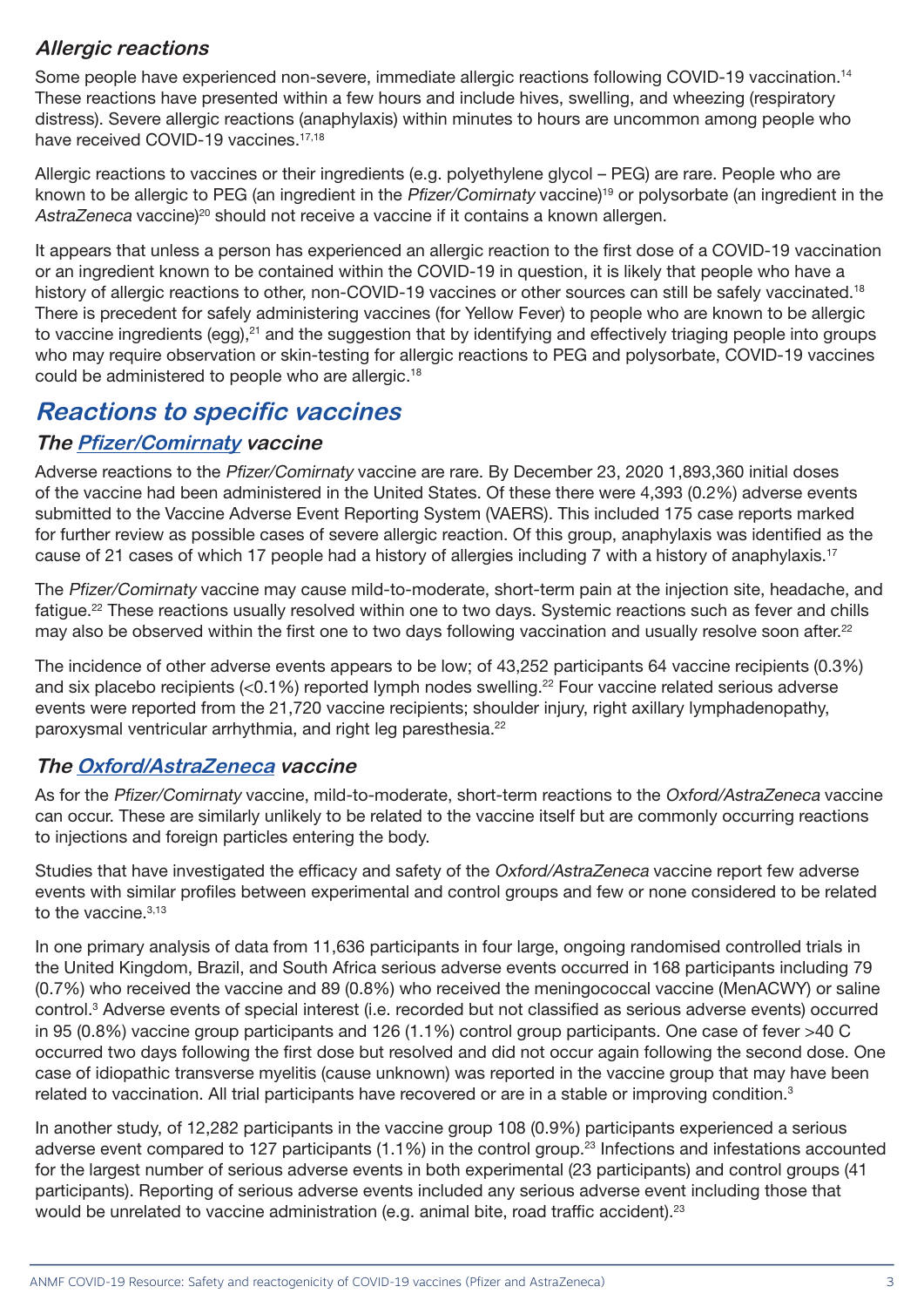#### **Allergic reactions**

Some people have experienced non-severe, immediate allergic reactions following COVID-19 vaccination.<sup>14</sup> These reactions have presented within a few hours and include hives, swelling, and wheezing (respiratory distress). Severe allergic reactions (anaphylaxis) within minutes to hours are uncommon among people who have received COVID-19 vaccines.<sup>17,18</sup>

Allergic reactions to vaccines or their ingredients (e.g. polyethylene glycol – PEG) are rare. People who are known to be allergic to PEG (an ingredient in the Pfizer/Comirnaty vaccine)19 or polysorbate (an ingredient in the AstraZeneca vaccine)<sup>20</sup> should not receive a vaccine if it contains a known allergen.

It appears that unless a person has experienced an allergic reaction to the first dose of a COVID-19 vaccination or an ingredient known to be contained within the COVID-19 in question, it is likely that people who have a history of allergic reactions to other, non-COVID-19 vaccines or other sources can still be safely vaccinated.<sup>18</sup> There is precedent for safely administering vaccines (for Yellow Fever) to people who are known to be allergic to vaccine ingredients (egg),<sup>21</sup> and the suggestion that by identifying and effectively triaging people into groups who may require observation or skin-testing for allergic reactions to PEG and polysorbate, COVID-19 vaccines could be administered to people who are allergic.18

## **Reactions to specific vaccines**

#### **The [Pfizer/](https://www.health.gov.au/resources/publications/coronavirus-covid-19-information-about-the-pfizerbiontech-vaccine-for-covid-19)Comirnaty vaccine**

Adverse reactions to the Pfizer/Comirnaty vaccine are rare. By December 23, 2020 1,893,360 initial doses of the vaccine had been administered in the United States. Of these there were 4,393 (0.2%) adverse events submitted to the Vaccine Adverse Event Reporting System (VAERS). This included 175 case reports marked for further review as possible cases of severe allergic reaction. Of this group, anaphylaxis was identified as the cause of 21 cases of which 17 people had a history of allergies including 7 with a history of anaphylaxis.17

The Pfizer/Comirnaty vaccine may cause mild-to-moderate, short-term pain at the injection site, headache, and fatigue.<sup>22</sup> These reactions usually resolved within one to two days. Systemic reactions such as fever and chills may also be observed within the first one to two days following vaccination and usually resolve soon after.<sup>22</sup>

The incidence of other adverse events appears to be low; of 43,252 participants 64 vaccine recipients (0.3%) and six placebo recipients (<0.1%) reported lymph nodes swelling.<sup>22</sup> Four vaccine related serious adverse events were reported from the 21,720 vaccine recipients; shoulder injury, right axillary lymphadenopathy, paroxysmal ventricular arrhythmia, and right leg paresthesia.<sup>22</sup>

#### **The [Oxford/AstraZeneca](https://www.health.gov.au/resources/publications/coronavirus-covid-19-information-about-the-university-of-oxford-vaccine-for-covid-19) vaccine**

As for the Pfizer/Comirnaty vaccine, mild-to-moderate, short-term reactions to the Oxford/AstraZeneca vaccine can occur. These are similarly unlikely to be related to the vaccine itself but are commonly occurring reactions to injections and foreign particles entering the body.

Studies that have investigated the efficacy and safety of the Oxford/AstraZeneca vaccine report few adverse events with similar profiles between experimental and control groups and few or none considered to be related to the vaccine. $3,13$ 

In one primary analysis of data from 11,636 participants in four large, ongoing randomised controlled trials in the United Kingdom, Brazil, and South Africa serious adverse events occurred in 168 participants including 79 (0.7%) who received the vaccine and 89 (0.8%) who received the meningococcal vaccine (MenACWY) or saline control.3 Adverse events of special interest (i.e. recorded but not classified as serious adverse events) occurred in 95 (0.8%) vaccine group participants and 126 (1.1%) control group participants. One case of fever >40 C occurred two days following the first dose but resolved and did not occur again following the second dose. One case of idiopathic transverse myelitis (cause unknown) was reported in the vaccine group that may have been related to vaccination. All trial participants have recovered or are in a stable or improving condition.<sup>3</sup>

In another study, of 12,282 participants in the vaccine group 108 (0.9%) participants experienced a serious adverse event compared to 127 participants (1.1%) in the control group.<sup>23</sup> Infections and infestations accounted for the largest number of serious adverse events in both experimental (23 participants) and control groups (41 participants). Reporting of serious adverse events included any serious adverse event including those that would be unrelated to vaccine administration (e.g. animal bite, road traffic accident).<sup>23</sup>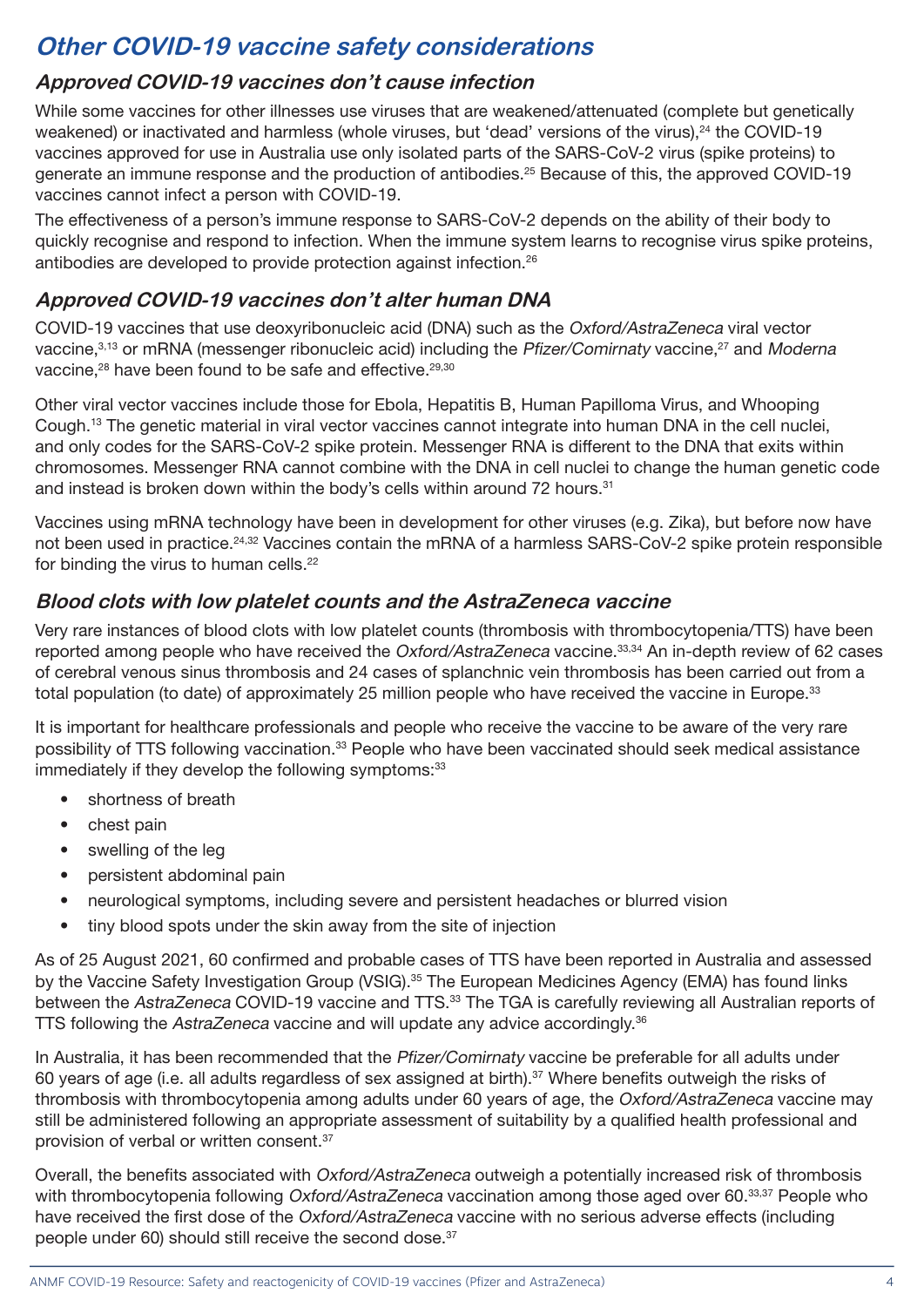## **Other COVID-19 vaccine safety considerations**

#### **Approved COVID-19 vaccines don't cause infection**

While some vaccines for other illnesses use viruses that are weakened/attenuated (complete but genetically weakened) or inactivated and harmless (whole viruses, but 'dead' versions of the virus),<sup>24</sup> the COVID-19 vaccines approved for use in Australia use only isolated parts of the SARS-CoV-2 virus (spike proteins) to generate an immune response and the production of antibodies.25 Because of this, the approved COVID-19 vaccines cannot infect a person with COVID-19.

The effectiveness of a person's immune response to SARS-CoV-2 depends on the ability of their body to quickly recognise and respond to infection. When the immune system learns to recognise virus spike proteins, antibodies are developed to provide protection against infection.26

#### **Approved COVID-19 vaccines don't alter human DNA**

COVID-19 vaccines that use deoxyribonucleic acid (DNA) such as the Oxford/AstraZeneca viral vector vaccine,3,13 or mRNA (messenger ribonucleic acid) including the Pfizer/Comirnaty vaccine,27 and Moderna vaccine,28 have been found to be safe and effective.29,30

Other viral vector vaccines include those for Ebola, Hepatitis B, Human Papilloma Virus, and Whooping Cough.13 The genetic material in viral vector vaccines cannot integrate into human DNA in the cell nuclei, and only codes for the SARS-CoV-2 spike protein. Messenger RNA is different to the DNA that exits within chromosomes. Messenger RNA cannot combine with the DNA in cell nuclei to change the human genetic code and instead is broken down within the body's cells within around 72 hours.<sup>31</sup>

Vaccines using mRNA technology have been in development for other viruses (e.g. Zika), but before now have not been used in practice.24,32 Vaccines contain the mRNA of a harmless SARS-CoV-2 spike protein responsible for binding the virus to human cells.<sup>22</sup>

#### **Blood clots with low platelet counts and the AstraZeneca vaccine**

Very rare instances of blood clots with low platelet counts (thrombosis with thrombocytopenia/TTS) have been reported among people who have received the Oxford/AstraZeneca vaccine.<sup>33,34</sup> An in-depth review of 62 cases of cerebral venous sinus thrombosis and 24 cases of splanchnic vein thrombosis has been carried out from a total population (to date) of approximately 25 million people who have received the vaccine in Europe.<sup>33</sup>

It is important for healthcare professionals and people who receive the vaccine to be aware of the very rare possibility of TTS following vaccination.<sup>33</sup> People who have been vaccinated should seek medical assistance immediately if they develop the following symptoms:<sup>33</sup>

- shortness of breath
- chest pain
- swelling of the leg
- persistent abdominal pain
- neurological symptoms, including severe and persistent headaches or blurred vision
- tiny blood spots under the skin away from the site of injection

As of 25 August 2021, 60 confirmed and probable cases of TTS have been reported in Australia and assessed by the Vaccine Safety Investigation Group (VSIG).<sup>35</sup> The European Medicines Agency (EMA) has found links between the AstraZeneca COVID-19 vaccine and TTS.<sup>33</sup> The TGA is carefully reviewing all Australian reports of TTS following the AstraZeneca vaccine and will update any advice accordingly.<sup>36</sup>

In Australia, it has been recommended that the *Pfizer/Comirnaty* vaccine be preferable for all adults under 60 years of age (i.e. all adults regardless of sex assigned at birth).37 Where benefits outweigh the risks of thrombosis with thrombocytopenia among adults under 60 years of age, the Oxford/AstraZeneca vaccine may still be administered following an appropriate assessment of suitability by a qualified health professional and provision of verbal or written consent.37

Overall, the benefits associated with Oxford/AstraZeneca outweigh a potentially increased risk of thrombosis with thrombocytopenia following Oxford/AstraZeneca vaccination among those aged over 60.<sup>33,37</sup> People who have received the first dose of the Oxford/AstraZeneca vaccine with no serious adverse effects (including people under 60) should still receive the second dose.<sup>37</sup>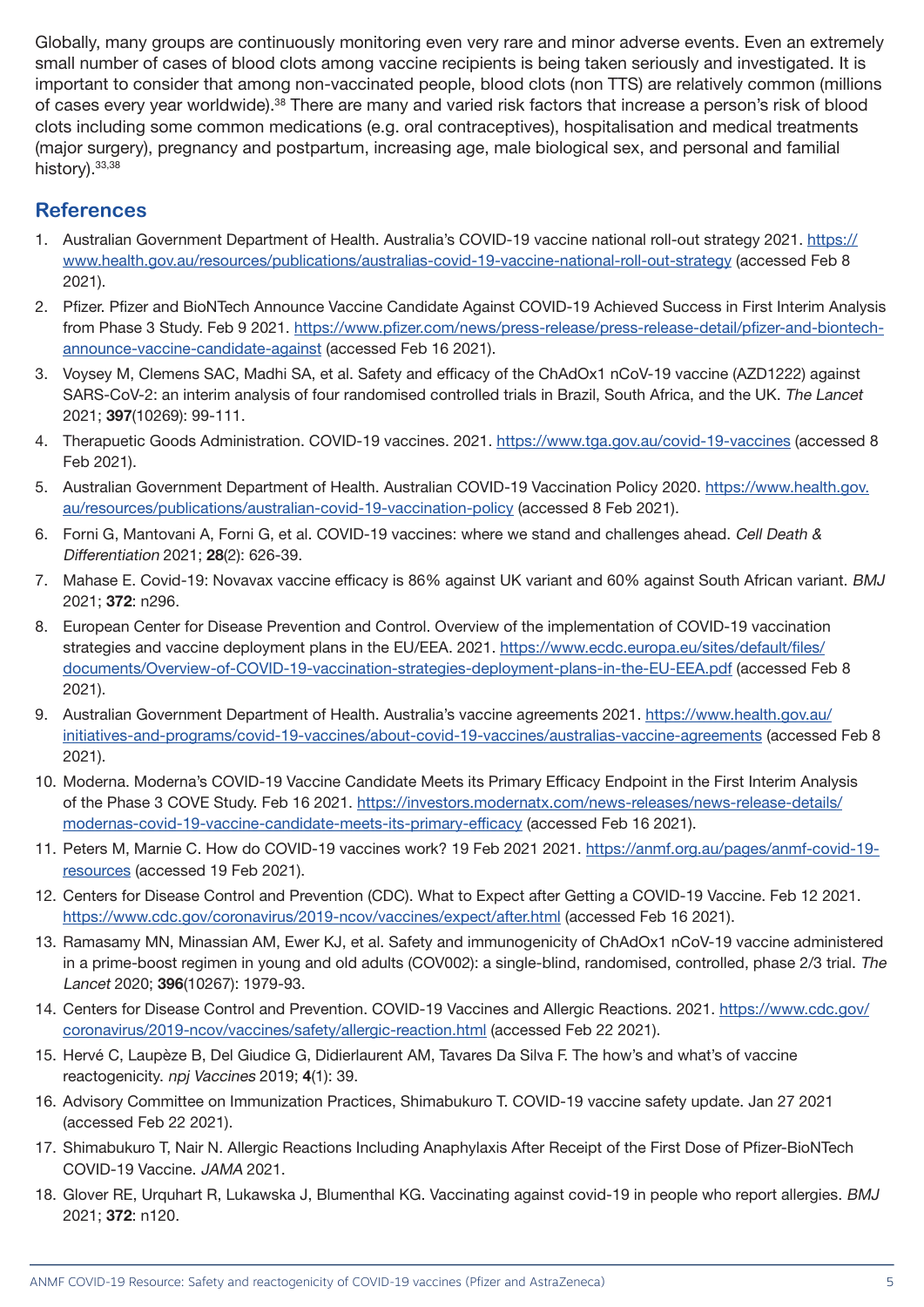Globally, many groups are continuously monitoring even very rare and minor adverse events. Even an extremely small number of cases of blood clots among vaccine recipients is being taken seriously and investigated. It is important to consider that among non-vaccinated people, blood clots (non TTS) are relatively common (millions of cases every year worldwide).<sup>38</sup> There are many and varied risk factors that increase a person's risk of blood clots including some common medications (e.g. oral contraceptives), hospitalisation and medical treatments (major surgery), pregnancy and postpartum, increasing age, male biological sex, and personal and familial history). 33,38

#### **References**

- 1. Australian Government Department of Health. Australia's COVID-19 vaccine national roll-out strategy 2021. [https://](https://www.health.gov.au/resources/publications/australias-covid-19-vaccine-national-roll-out-strategy) [www.health.gov.au/resources/publications/australias-covid-19-vaccine-national-roll-out-strategy](https://www.health.gov.au/resources/publications/australias-covid-19-vaccine-national-roll-out-strategy) (accessed Feb 8 2021).
- 2. Pfizer. Pfizer and BioNTech Announce Vaccine Candidate Against COVID-19 Achieved Success in First Interim Analysis from Phase 3 Study. Feb 9 2021. [https://www.pfizer.com/news/press-release/press-release-detail/pfizer-and-biontech](https://www.pfizer.com/news/press-release/press-release-detail/pfizer-and-biontech-announce-vaccine-candidate-against)[announce-vaccine-candidate-against](https://www.pfizer.com/news/press-release/press-release-detail/pfizer-and-biontech-announce-vaccine-candidate-against) (accessed Feb 16 2021).
- 3. Voysey M, Clemens SAC, Madhi SA, et al. Safety and efficacy of the ChAdOx1 nCoV-19 vaccine (AZD1222) against SARS-CoV-2: an interim analysis of four randomised controlled trials in Brazil, South Africa, and the UK. The Lancet 2021; 397(10269): 99-111.
- 4. Therapuetic Goods Administration. COVID-19 vaccines. 2021.<https://www.tga.gov.au/covid-19-vaccines>(accessed 8 Feb 2021).
- 5. Australian Government Department of Health. Australian COVID-19 Vaccination Policy 2020. [https://www.health.gov.](https://www.health.gov.au/resources/publications/australian-covid-19-vaccination-policy) [au/resources/publications/australian-covid-19-vaccination-policy](https://www.health.gov.au/resources/publications/australian-covid-19-vaccination-policy) (accessed 8 Feb 2021).
- 6. Forni G, Mantovani A, Forni G, et al. COVID-19 vaccines: where we stand and challenges ahead. Cell Death & Differentiation 2021; 28(2): 626-39.
- 7. Mahase E. Covid-19: Novavax vaccine efficacy is 86% against UK variant and 60% against South African variant. BMJ 2021; 372: n296.
- 8. European Center for Disease Prevention and Control. Overview of the implementation of COVID-19 vaccination strategies and vaccine deployment plans in the EU/EEA. 2021. [https://www.ecdc.europa.eu/sites/default/files/](https://www.ecdc.europa.eu/sites/default/files/documents/Overview-of-COVID-19-vaccination-strategies-deployment-plans-in-the-EU-EEA.pdf) [documents/Overview-of-COVID-19-vaccination-strategies-deployment-plans-in-the-EU-EEA.pdf](https://www.ecdc.europa.eu/sites/default/files/documents/Overview-of-COVID-19-vaccination-strategies-deployment-plans-in-the-EU-EEA.pdf) (accessed Feb 8 2021).
- 9. Australian Government Department of Health. Australia's vaccine agreements 2021. [https://www.health.gov.au/](https://www.health.gov.au/initiatives-and-programs/covid-19-vaccines/about-covid-19-vaccines/australias-vaccine-agreements) [initiatives-and-programs/covid-19-vaccines/about-covid-19-vaccines/australias-vaccine-agreements](https://www.health.gov.au/initiatives-and-programs/covid-19-vaccines/about-covid-19-vaccines/australias-vaccine-agreements) (accessed Feb 8 2021).
- 10. Moderna. Moderna's COVID-19 Vaccine Candidate Meets its Primary Efficacy Endpoint in the First Interim Analysis of the Phase 3 COVE Study. Feb 16 2021. [https://investors.modernatx.com/news-releases/news-release-details/](https://investors.modernatx.com/news-releases/news-release-details/modernas-covid-19-vaccine-candidate-meets-its-primary-efficacy) [modernas-covid-19-vaccine-candidate-meets-its-primary-efficacy](https://investors.modernatx.com/news-releases/news-release-details/modernas-covid-19-vaccine-candidate-meets-its-primary-efficacy) (accessed Feb 16 2021).
- 11. Peters M, Marnie C. How do COVID-19 vaccines work? 19 Feb 2021 2021. [https://anmf.org.au/pages/anmf-covid-19](https://anmf.org.au/pages/anmf-covid-19-resources) [resources](https://anmf.org.au/pages/anmf-covid-19-resources) (accessed 19 Feb 2021).
- 12. Centers for Disease Control and Prevention (CDC). What to Expect after Getting a COVID-19 Vaccine. Feb 12 2021. <https://www.cdc.gov/coronavirus/2019-ncov/vaccines/expect/after.html> (accessed Feb 16 2021).
- 13. Ramasamy MN, Minassian AM, Ewer KJ, et al. Safety and immunogenicity of ChAdOx1 nCoV-19 vaccine administered in a prime-boost regimen in young and old adults (COV002): a single-blind, randomised, controlled, phase 2/3 trial. The Lancet 2020; 396(10267): 1979-93.
- 14. Centers for Disease Control and Prevention. COVID-19 Vaccines and Allergic Reactions. 2021. [https://www.cdc.gov/](https://www.cdc.gov/coronavirus/2019-ncov/vaccines/safety/allergic-reaction.html) [coronavirus/2019-ncov/vaccines/safety/allergic-reaction.html](https://www.cdc.gov/coronavirus/2019-ncov/vaccines/safety/allergic-reaction.html) (accessed Feb 22 2021).
- 15. Hervé C, Laupèze B, Del Giudice G, Didierlaurent AM, Tavares Da Silva F. The how's and what's of vaccine reactogenicity. npj Vaccines 2019; 4(1): 39.
- 16. Advisory Committee on Immunization Practices, Shimabukuro T. COVID-19 vaccine safety update. Jan 27 2021 (accessed Feb 22 2021).
- 17. Shimabukuro T, Nair N. Allergic Reactions Including Anaphylaxis After Receipt of the First Dose of Pfizer-BioNTech COVID-19 Vaccine. JAMA 2021.
- 18. Glover RE, Urquhart R, Lukawska J, Blumenthal KG. Vaccinating against covid-19 in people who report allergies. BMJ 2021; 372: n120.